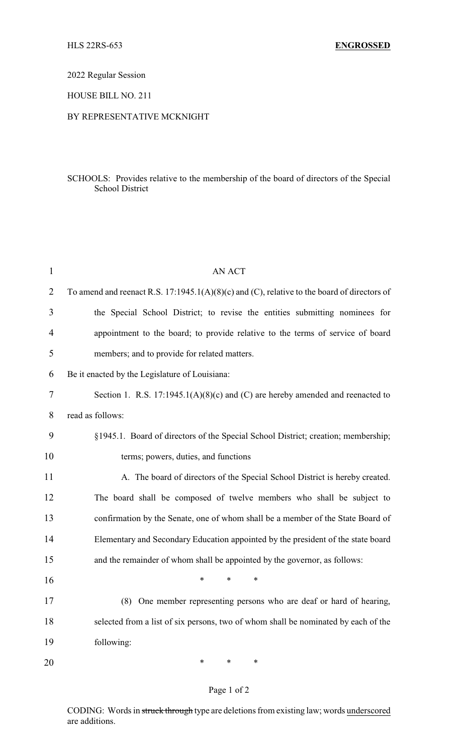2022 Regular Session

HOUSE BILL NO. 211

## BY REPRESENTATIVE MCKNIGHT

## SCHOOLS: Provides relative to the membership of the board of directors of the Special School District

| $\mathbf{1}$   | AN ACT                                                                                      |
|----------------|---------------------------------------------------------------------------------------------|
| $\overline{2}$ | To amend and reenact R.S. 17:1945.1(A)(8)(c) and (C), relative to the board of directors of |
| 3              | the Special School District; to revise the entities submitting nominees for                 |
| 4              | appointment to the board; to provide relative to the terms of service of board              |
| 5              | members; and to provide for related matters.                                                |
| 6              | Be it enacted by the Legislature of Louisiana:                                              |
| 7              | Section 1. R.S. $17:1945.1(A)(8)(c)$ and (C) are hereby amended and reenacted to            |
| 8              | read as follows:                                                                            |
| 9              | §1945.1. Board of directors of the Special School District; creation; membership;           |
| 10             | terms; powers, duties, and functions                                                        |
| 11             | A. The board of directors of the Special School District is hereby created.                 |
| 12             | The board shall be composed of twelve members who shall be subject to                       |
| 13             | confirmation by the Senate, one of whom shall be a member of the State Board of             |
| 14             | Elementary and Secondary Education appointed by the president of the state board            |
| 15             | and the remainder of whom shall be appointed by the governor, as follows:                   |
| 16             | $\ast$<br>*<br>∗                                                                            |
| 17             | (8) One member representing persons who are deaf or hard of hearing,                        |
| 18             | selected from a list of six persons, two of whom shall be nominated by each of the          |
| 19             | following:                                                                                  |
| 20             | $\ast$<br>$\ast$<br>∗                                                                       |

## Page 1 of 2

CODING: Words in struck through type are deletions from existing law; words underscored are additions.